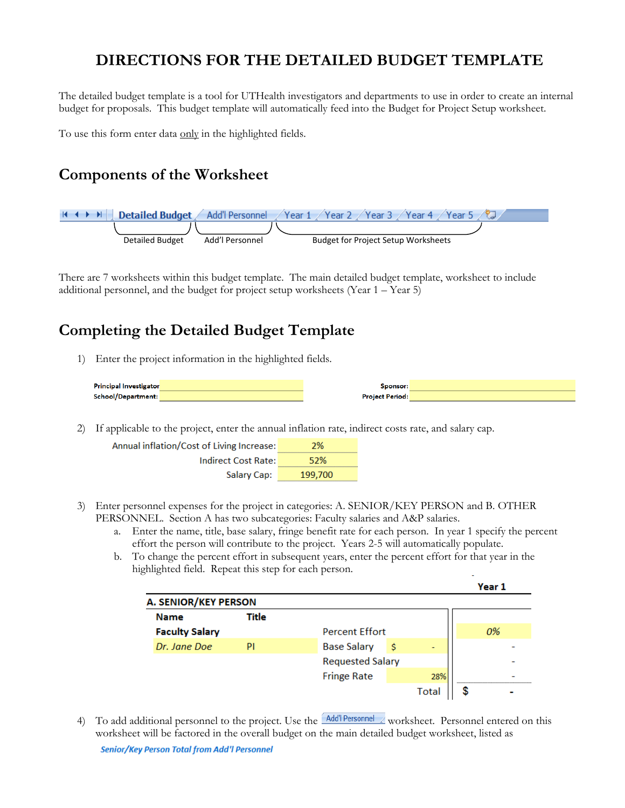# **DIRECTIONS FOR THE DETAILED BUDGET TEMPLATE**

The detailed budget template is a tool for UTHealth investigators and departments to use in order to create an internal budget for proposals. This budget template will automatically feed into the Budget for Project Setup worksheet.

To use this form enter data only in the highlighted fields.

## **Components of the Worksheet**



There are 7 worksheets within this budget template. The main detailed budget template, worksheet to include additional personnel, and the budget for project setup worksheets (Year 1 – Year 5)

## **Completing the Detailed Budget Template**

1) Enter the project information in the highlighted fields.

| <b>Principal Investigator</b> | Sponsor:               |  |
|-------------------------------|------------------------|--|
| School/Department:            | <b>Project Period:</b> |  |

2) If applicable to the project, enter the annual inflation rate, indirect costs rate, and salary cap.

| Annual inflation/Cost of Living Increase: | 2%      |
|-------------------------------------------|---------|
| Indirect Cost Rate:                       | 52%     |
| Salary Cap:                               | 199,700 |

- 3) Enter personnel expenses for the project in categories: A. SENIOR/KEY PERSON and B. OTHER PERSONNEL. Section A has two subcategories: Faculty salaries and A&P salaries.
	- a. Enter the name, title, base salary, fringe benefit rate for each person. In year 1 specify the percent effort the person will contribute to the project. Years 2-5 will automatically populate.
	- b. To change the percent effort in subsequent years, enter the percent effort for that year in the highlighted field. Repeat this step for each person.

|                             |       |                         |   |       | Year 1 |  |
|-----------------------------|-------|-------------------------|---|-------|--------|--|
| <b>A. SENIOR/KEY PERSON</b> |       |                         |   |       |        |  |
| <b>Name</b>                 | Title |                         |   |       |        |  |
| <b>Faculty Salary</b>       |       | <b>Percent Effort</b>   |   |       | 0%     |  |
| Dr. Jane Doe                | PI    | <b>Base Salary</b>      | s | -     |        |  |
|                             |       | <b>Requested Salary</b> |   |       |        |  |
|                             |       | <b>Fringe Rate</b>      |   | 28%   |        |  |
|                             |       |                         |   | Total |        |  |

4) To add additional personnel to the project. Use the **Add'I Personnel** worksheet. Personnel entered on this worksheet will be factored in the overall budget on the main detailed budget worksheet, listed as Senior/Key Person Total from Add'l Personnel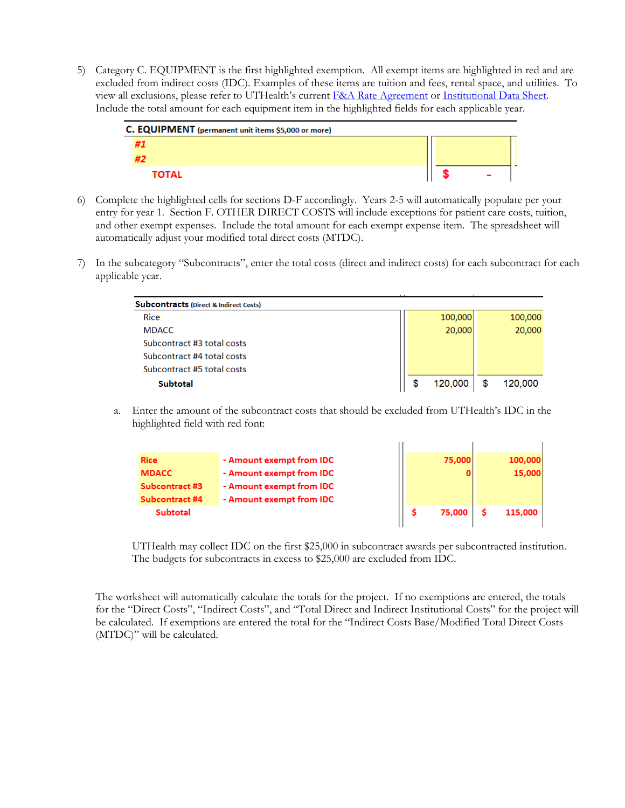5) Category C. EQUIPMENT is the first highlighted exemption. All exempt items are highlighted in red and are excluded from indirect costs (IDC). Examples of these items are tuition and fees, rental space, and utilities. To view all exclusions, please refer to UTHealth's current F&A Rate Agreement or Institutional Data Sheet. Include the total amount for each equipment item in the highlighted fields for each applicable year.

| C. EQUIPMENT (permanent unit items \$5,000 or more) |  |  |
|-----------------------------------------------------|--|--|
|                                                     |  |  |
|                                                     |  |  |
| TOTAL                                               |  |  |

- 6) Complete the highlighted cells for sections D-F accordingly. Years 2-5 will automatically populate per your entry for year 1. Section F. OTHER DIRECT COSTS will include exceptions for patient care costs, tuition, and other exempt expenses. Include the total amount for each exempt expense item. The spreadsheet will automatically adjust your modified total direct costs (MTDC).
- 7) In the subcategory "Subcontracts", enter the total costs (direct and indirect costs) for each subcontract for each applicable year.

| <b>Subcontracts (Direct &amp; Indirect Costs)</b> |         |         |
|---------------------------------------------------|---------|---------|
| <b>Rice</b>                                       | 100,000 | 100,000 |
| <b>MDACC</b>                                      | 20,000  | 20,000  |
| Subcontract #3 total costs                        |         |         |
| Subcontract #4 total costs                        |         |         |
| Subcontract #5 total costs                        |         |         |
| Subtotal                                          | 120,000 | 120,000 |

a. Enter the amount of the subcontract costs that should be excluded from UTHealth's IDC in the highlighted field with red font:

| <b>Rice</b>     | - Amount exempt from IDC | 75,000 | 100,000 |
|-----------------|--------------------------|--------|---------|
| <b>MDACC</b>    | - Amount exempt from IDC |        | 15,000  |
| Subcontract #3  | - Amount exempt from IDC |        |         |
| Subcontract #4  | - Amount exempt from IDC |        |         |
| <b>Subtotal</b> |                          | 75,000 | 115,000 |
|                 |                          |        |         |

 $\mathbf{r}$ 

 $\mathbf{r}$ 

UTHealth may collect IDC on the first \$25,000 in subcontract awards per subcontracted institution. The budgets for subcontracts in excess to \$25,000 are excluded from IDC.

The worksheet will automatically calculate the totals for the project. If no exemptions are entered, the totals for the "Direct Costs", "Indirect Costs", and "Total Direct and Indirect Institutional Costs" for the project will be calculated. If exemptions are entered the total for the "Indirect Costs Base/Modified Total Direct Costs (MTDC)" will be calculated.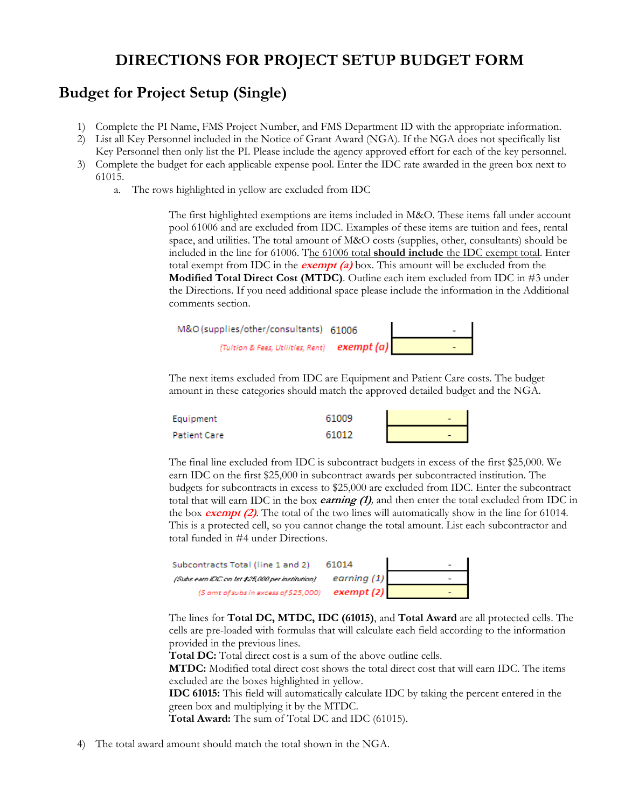# **DIRECTIONS FOR PROJECT SETUP BUDGET FORM**

## **Budget for Project Setup (Single)**

- 1) Complete the PI Name, FMS Project Number, and FMS Department ID with the appropriate information.
- 2) List all Key Personnel included in the Notice of Grant Award (NGA). If the NGA does not specifically list Key Personnel then only list the PI. Please include the agency approved effort for each of the key personnel.
- 3) Complete the budget for each applicable expense pool. Enter the IDC rate awarded in the green box next to 61015.
	- a. The rows highlighted in yellow are excluded from IDC

The first highlighted exemptions are items included in M&O. These items fall under account pool 61006 and are excluded from IDC. Examples of these items are tuition and fees, rental space, and utilities. The total amount of M&O costs (supplies, other, consultants) should be included in the line for 61006. The 61006 total **should include** the IDC exempt total. Enter total exempt from IDC in the **exempt (a)** box. This amount will be excluded from the **Modified Total Direct Cost (MTDC)**. Outline each item excluded from IDC in #3 under the Directions. If you need additional space please include the information in the Additional comments section.

| M&O (supplies/other/consultants) 61006                                                    |  |
|-------------------------------------------------------------------------------------------|--|
| (Tuition & Fees, Utilities, Rent) $\left\lfloor \text{exempt}\left(a\right)\right\rfloor$ |  |

The next items excluded from IDC are Equipment and Patient Care costs. The budget amount in these categories should match the approved detailed budget and the NGA.

| Equipment    | 61009 | $\overline{\phantom{0}}$ |
|--------------|-------|--------------------------|
| Patient Care | 61012 | $\overline{\phantom{a}}$ |

The final line excluded from IDC is subcontract budgets in excess of the first \$25,000. We earn IDC on the first \$25,000 in subcontract awards per subcontracted institution. The budgets for subcontracts in excess to \$25,000 are excluded from IDC. Enter the subcontract total that will earn IDC in the box **earning (1)***,* and then enter the total excluded from IDC in the box **exempt (2)**. The total of the two lines will automatically show in the line for 61014. This is a protected cell, so you cannot change the total amount. List each subcontractor and total funded in #4 under Directions.

| Subcontracts Total (line 1 and 2)                | 61014       |  |
|--------------------------------------------------|-------------|--|
| (Subs earn IDC on 1st \$25,000 per institution). | earning (1) |  |
| (\$ amt of subs in excess of \$25,000)           | exempt (2)  |  |

The lines for **Total DC, MTDC, IDC (61015)**, and **Total Award** are all protected cells. The cells are pre-loaded with formulas that will calculate each field according to the information provided in the previous lines.

**Total DC:** Total direct cost is a sum of the above outline cells.

**MTDC:** Modified total direct cost shows the total direct cost that will earn IDC. The items excluded are the boxes highlighted in yellow.

**IDC 61015:** This field will automatically calculate IDC by taking the percent entered in the green box and multiplying it by the MTDC.

**Total Award:** The sum of Total DC and IDC (61015).

4) The total award amount should match the total shown in the NGA.